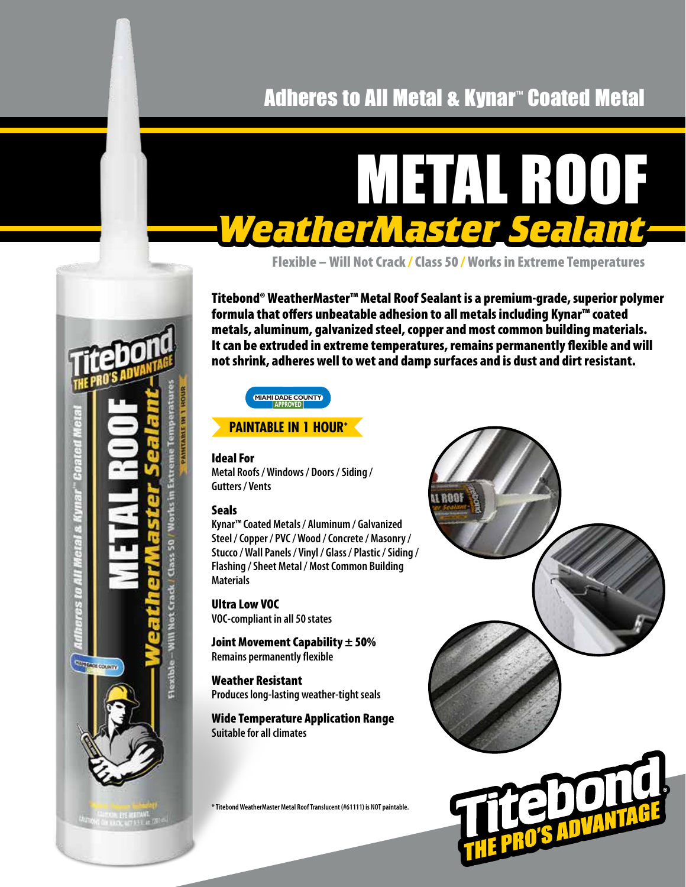# Adheres to All Metal & Kynar™ Coated Metal

# METAL ROOF *WeatherMaster Sealant*

Flexible – Will Not Crack / Class 50 /Works in Extreme Temperatures

Titebond® WeatherMaster™ Metal Roof Sealant is a premium-grade, superior polymer formula that offers unbeatable adhesion to all metals including Kynar™ coated metals, aluminum, galvanized steel, copper and most common building materials. It can be extruded in extreme temperatures, remains permanently flexible and will not shrink, adheres well to wet and damp surfaces and is dust and dirt resistant.



## **PAINTABLE IN 1 HOUR\***

#### Ideal For

**Metal Roofs / Windows / Doors / Siding / Gutters / Vents**

#### **Seals**

**CONTRACT COUNTY** 

**Kynar™ Coated Metals / Aluminum / Galvanized Steel / Copper / PVC / Wood / Concrete / Masonry / Stucco / Wall Panels / Vinyl / Glass / Plastic / Siding / Flashing / Sheet Metal / Most Common Building Materials**

Ultra Low VOC **VOC-compliant in all 50 states**

Joint Movement Capability  $\pm$  50% **Remains permanently flexible**

Weather Resistant **Produces long-lasting weather-tight seals**

Wide Temperature Application Range **Suitable for all climates**

**\* Titebond WeatherMaster Metal Roof Translucent (#61111) is NOT paintable.**